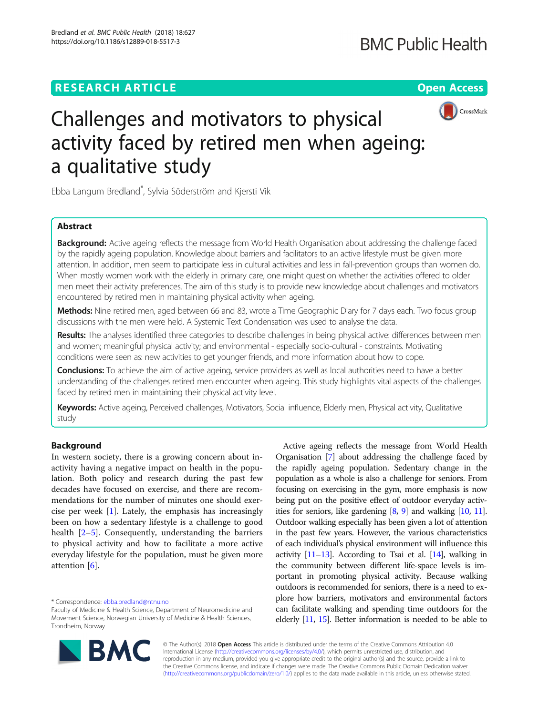# **RESEARCH ARTICLE Example 2014 12:30 The Open Access**



# Challenges and motivators to physical activity faced by retired men when ageing: a qualitative study

Ebba Langum Bredland\* , Sylvia Söderström and Kjersti Vik

# Abstract

Background: Active ageing reflects the message from World Health Organisation about addressing the challenge faced by the rapidly ageing population. Knowledge about barriers and facilitators to an active lifestyle must be given more attention. In addition, men seem to participate less in cultural activities and less in fall-prevention groups than women do. When mostly women work with the elderly in primary care, one might question whether the activities offered to older men meet their activity preferences. The aim of this study is to provide new knowledge about challenges and motivators encountered by retired men in maintaining physical activity when ageing.

Methods: Nine retired men, aged between 66 and 83, wrote a Time Geographic Diary for 7 days each. Two focus group discussions with the men were held. A Systemic Text Condensation was used to analyse the data.

Results: The analyses identified three categories to describe challenges in being physical active: differences between men and women; meaningful physical activity; and environmental - especially socio-cultural - constraints. Motivating conditions were seen as: new activities to get younger friends, and more information about how to cope.

Conclusions: To achieve the aim of active ageing, service providers as well as local authorities need to have a better understanding of the challenges retired men encounter when ageing. This study highlights vital aspects of the challenges faced by retired men in maintaining their physical activity level.

Keywords: Active ageing, Perceived challenges, Motivators, Social influence, Elderly men, Physical activity, Qualitative study

# Background

In western society, there is a growing concern about inactivity having a negative impact on health in the population. Both policy and research during the past few decades have focused on exercise, and there are recommendations for the number of minutes one should exercise per week [[1\]](#page-8-0). Lately, the emphasis has increasingly been on how a sedentary lifestyle is a challenge to good health [[2](#page-8-0)–[5\]](#page-8-0). Consequently, understanding the barriers to physical activity and how to facilitate a more active everyday lifestyle for the population, must be given more attention [[6\]](#page-8-0).

Faculty of Medicine & Health Science, Department of Neuromedicine and Movement Science, Norwegian University of Medicine & Health Sciences, Trondheim, Norway



Active ageing reflects the message from World Health Organisation [[7](#page-8-0)] about addressing the challenge faced by the rapidly ageing population. Sedentary change in the population as a whole is also a challenge for seniors. From focusing on exercising in the gym, more emphasis is now being put on the positive effect of outdoor everyday activities for seniors, like gardening [[8](#page-8-0), [9](#page-8-0)] and walking [\[10,](#page-8-0) [11](#page-8-0)]. Outdoor walking especially has been given a lot of attention in the past few years. However, the various characteristics of each individual's physical environment will influence this activity  $[11-13]$  $[11-13]$  $[11-13]$  $[11-13]$  $[11-13]$ . According to Tsai et al.  $[14]$  $[14]$  $[14]$ , walking in the community between different life-space levels is important in promoting physical activity. Because walking outdoors is recommended for seniors, there is a need to explore how barriers, motivators and environmental factors can facilitate walking and spending time outdoors for the elderly [\[11](#page-8-0), [15](#page-8-0)]. Better information is needed to be able to

© The Author(s). 2018 Open Access This article is distributed under the terms of the Creative Commons Attribution 4.0 International License [\(http://creativecommons.org/licenses/by/4.0/](http://creativecommons.org/licenses/by/4.0/)), which permits unrestricted use, distribution, and reproduction in any medium, provided you give appropriate credit to the original author(s) and the source, provide a link to the Creative Commons license, and indicate if changes were made. The Creative Commons Public Domain Dedication waiver [\(http://creativecommons.org/publicdomain/zero/1.0/](http://creativecommons.org/publicdomain/zero/1.0/)) applies to the data made available in this article, unless otherwise stated.

<sup>\*</sup> Correspondence: [ebba.bredland@ntnu.no](mailto:ebba.bredland@ntnu.no)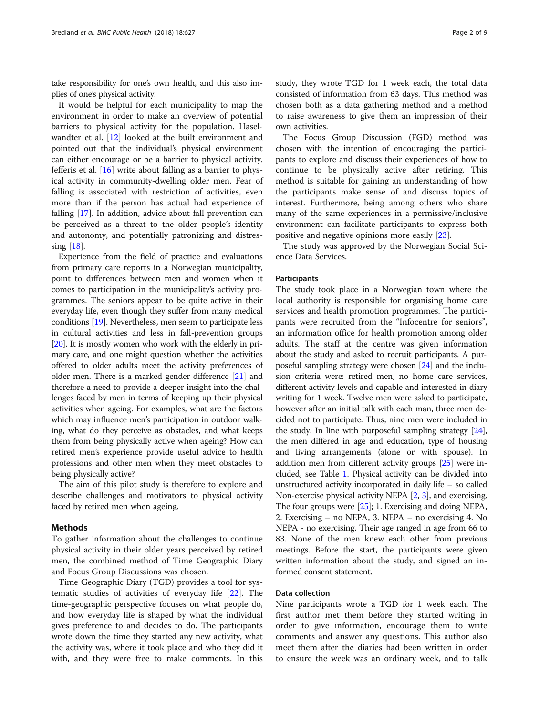take responsibility for one's own health, and this also implies of one's physical activity.

It would be helpful for each municipality to map the environment in order to make an overview of potential barriers to physical activity for the population. Haselwandter et al. [\[12\]](#page-8-0) looked at the built environment and pointed out that the individual's physical environment can either encourage or be a barrier to physical activity. Jefferis et al. [\[16](#page-8-0)] write about falling as a barrier to physical activity in community-dwelling older men. Fear of falling is associated with restriction of activities, even more than if the person has actual had experience of falling [\[17](#page-8-0)]. In addition, advice about fall prevention can be perceived as a threat to the older people's identity and autonomy, and potentially patronizing and distressing [\[18](#page-8-0)].

Experience from the field of practice and evaluations from primary care reports in a Norwegian municipality, point to differences between men and women when it comes to participation in the municipality's activity programmes. The seniors appear to be quite active in their everyday life, even though they suffer from many medical conditions [\[19\]](#page-8-0). Nevertheless, men seem to participate less in cultural activities and less in fall-prevention groups [[20](#page-8-0)]. It is mostly women who work with the elderly in primary care, and one might question whether the activities offered to older adults meet the activity preferences of older men. There is a marked gender difference [\[21](#page-8-0)] and therefore a need to provide a deeper insight into the challenges faced by men in terms of keeping up their physical activities when ageing. For examples, what are the factors which may influence men's participation in outdoor walking, what do they perceive as obstacles, and what keeps them from being physically active when ageing? How can retired men's experience provide useful advice to health professions and other men when they meet obstacles to being physically active?

The aim of this pilot study is therefore to explore and describe challenges and motivators to physical activity faced by retired men when ageing.

#### Methods

To gather information about the challenges to continue physical activity in their older years perceived by retired men, the combined method of Time Geographic Diary and Focus Group Discussions was chosen.

Time Geographic Diary (TGD) provides a tool for systematic studies of activities of everyday life [\[22\]](#page-8-0). The time-geographic perspective focuses on what people do, and how everyday life is shaped by what the individual gives preference to and decides to do. The participants wrote down the time they started any new activity, what the activity was, where it took place and who they did it with, and they were free to make comments. In this

The Focus Group Discussion (FGD) method was chosen with the intention of encouraging the participants to explore and discuss their experiences of how to continue to be physically active after retiring. This method is suitable for gaining an understanding of how the participants make sense of and discuss topics of interest. Furthermore, being among others who share many of the same experiences in a permissive/inclusive environment can facilitate participants to express both positive and negative opinions more easily [\[23\]](#page-8-0).

The study was approved by the Norwegian Social Science Data Services.

#### Participants

The study took place in a Norwegian town where the local authority is responsible for organising home care services and health promotion programmes. The participants were recruited from the "Infocentre for seniors", an information office for health promotion among older adults. The staff at the centre was given information about the study and asked to recruit participants. A purposeful sampling strategy were chosen [[24](#page-8-0)] and the inclusion criteria were: retired men, no home care services, different activity levels and capable and interested in diary writing for 1 week. Twelve men were asked to participate, however after an initial talk with each man, three men decided not to participate. Thus, nine men were included in the study. In line with purposeful sampling strategy  $[24]$  $[24]$  $[24]$ , the men differed in age and education, type of housing and living arrangements (alone or with spouse). In addition men from different activity groups [\[25](#page-8-0)] were included, see Table [1.](#page-2-0) Physical activity can be divided into unstructured activity incorporated in daily life – so called Non-exercise physical activity NEPA [[2,](#page-8-0) [3](#page-8-0)], and exercising. The four groups were [[25](#page-8-0)]; 1. Exercising and doing NEPA, 2. Exercising – no NEPA, 3. NEPA – no exercising 4. No NEPA - no exercising. Their age ranged in age from 66 to 83. None of the men knew each other from previous meetings. Before the start, the participants were given written information about the study, and signed an informed consent statement.

# Data collection

Nine participants wrote a TGD for 1 week each. The first author met them before they started writing in order to give information, encourage them to write comments and answer any questions. This author also meet them after the diaries had been written in order to ensure the week was an ordinary week, and to talk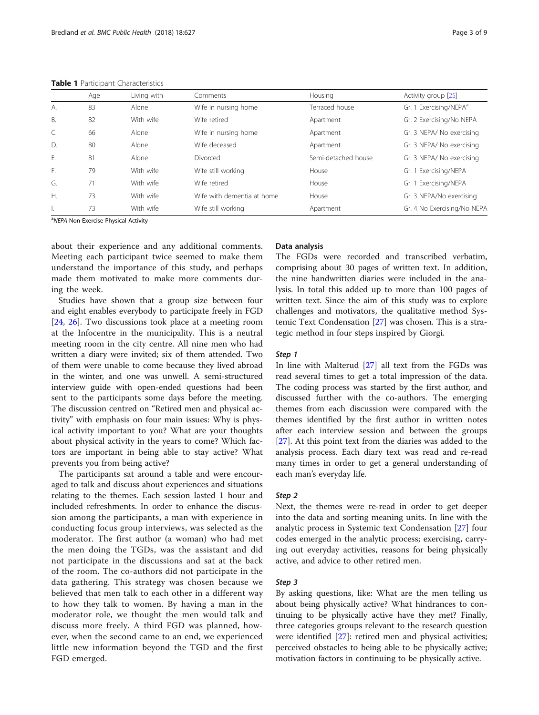|              | Age | Living with | Comments                   | Housing             | Activity group [25]                |
|--------------|-----|-------------|----------------------------|---------------------|------------------------------------|
| А.           | 83  | Alone       | Wife in nursing home       | Terraced house      | Gr. 1 Exercising/NEPA <sup>a</sup> |
| В.           | 82  | With wife   | Wife retired               | Apartment           | Gr. 2 Exercising/No NEPA           |
| C.           | 66  | Alone       | Wife in nursing home       | Apartment           | Gr. 3 NEPA/No exercising           |
| $\mathsf{D}$ | 80  | Alone       | Wife deceased              | Apartment           | Gr. 3 NEPA/No exercising           |
| Ε.           | 81  | Alone       | Divorced                   | Semi-detached house | Gr. 3 NEPA/ No exercising          |
| F.           | 79  | With wife   | Wife still working         | House               | Gr. 1 Exercising/NEPA              |
| G.           | 71  | With wife   | Wife retired               | House               | Gr. 1 Exercising/NEPA              |
| $H_{\cdot}$  | 73  | With wife   | Wife with dementia at home | House               | Gr. 3 NEPA/No exercising           |
| ъ.           | 73  | With wife   | Wife still working         | Apartment           | Gr. 4 No Exercising/No NEPA        |

<span id="page-2-0"></span>Table 1 Participant Characteristics

<sup>a</sup>NEPA Non-Exercise Physical Activity

about their experience and any additional comments. Meeting each participant twice seemed to make them understand the importance of this study, and perhaps made them motivated to make more comments during the week.

Studies have shown that a group size between four and eight enables everybody to participate freely in FGD [[24,](#page-8-0) [26](#page-8-0)]. Two discussions took place at a meeting room at the Infocentre in the municipality. This is a neutral meeting room in the city centre. All nine men who had written a diary were invited; six of them attended. Two of them were unable to come because they lived abroad in the winter, and one was unwell. A semi-structured interview guide with open-ended questions had been sent to the participants some days before the meeting. The discussion centred on "Retired men and physical activity" with emphasis on four main issues: Why is physical activity important to you? What are your thoughts about physical activity in the years to come? Which factors are important in being able to stay active? What prevents you from being active?

The participants sat around a table and were encouraged to talk and discuss about experiences and situations relating to the themes. Each session lasted 1 hour and included refreshments. In order to enhance the discussion among the participants, a man with experience in conducting focus group interviews, was selected as the moderator. The first author (a woman) who had met the men doing the TGDs, was the assistant and did not participate in the discussions and sat at the back of the room. The co-authors did not participate in the data gathering. This strategy was chosen because we believed that men talk to each other in a different way to how they talk to women. By having a man in the moderator role, we thought the men would talk and discuss more freely. A third FGD was planned, however, when the second came to an end, we experienced little new information beyond the TGD and the first FGD emerged.

#### Data analysis

The FGDs were recorded and transcribed verbatim, comprising about 30 pages of written text. In addition, the nine handwritten diaries were included in the analysis. In total this added up to more than 100 pages of written text. Since the aim of this study was to explore challenges and motivators, the qualitative method Systemic Text Condensation [[27\]](#page-8-0) was chosen. This is a strategic method in four steps inspired by Giorgi.

#### Step 1

In line with Malterud [\[27\]](#page-8-0) all text from the FGDs was read several times to get a total impression of the data. The coding process was started by the first author, and discussed further with the co-authors. The emerging themes from each discussion were compared with the themes identified by the first author in written notes after each interview session and between the groups [[27\]](#page-8-0). At this point text from the diaries was added to the analysis process. Each diary text was read and re-read many times in order to get a general understanding of each man's everyday life.

# Step 2

Next, the themes were re-read in order to get deeper into the data and sorting meaning units. In line with the analytic process in Systemic text Condensation [\[27](#page-8-0)] four codes emerged in the analytic process; exercising, carrying out everyday activities, reasons for being physically active, and advice to other retired men.

# Step 3

By asking questions, like: What are the men telling us about being physically active? What hindrances to continuing to be physically active have they met? Finally, three categories groups relevant to the research question were identified [\[27](#page-8-0)]: retired men and physical activities; perceived obstacles to being able to be physically active; motivation factors in continuing to be physically active.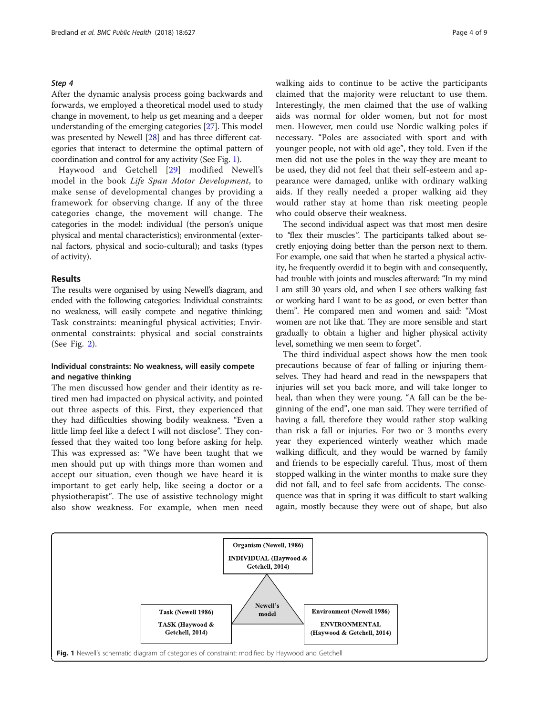#### Step 4

After the dynamic analysis process going backwards and forwards, we employed a theoretical model used to study change in movement, to help us get meaning and a deeper understanding of the emerging categories [[27](#page-8-0)]. This model was presented by Newell [[28](#page-8-0)] and has three different categories that interact to determine the optimal pattern of coordination and control for any activity (See Fig. 1).

Haywood and Getchell [[29\]](#page-8-0) modified Newell's model in the book Life Span Motor Development, to make sense of developmental changes by providing a framework for observing change. If any of the three categories change, the movement will change. The categories in the model: individual (the person's unique physical and mental characteristics); environmental (external factors, physical and socio-cultural); and tasks (types of activity).

# Results

The results were organised by using Newell's diagram, and ended with the following categories: Individual constraints: no weakness, will easily compete and negative thinking; Task constraints: meaningful physical activities; Environmental constraints: physical and social constraints (See Fig. [2\)](#page-4-0).

# Individual constraints: No weakness, will easily compete and negative thinking

The men discussed how gender and their identity as retired men had impacted on physical activity, and pointed out three aspects of this. First, they experienced that they had difficulties showing bodily weakness. "Even a little limp feel like a defect I will not disclose". They confessed that they waited too long before asking for help. This was expressed as: "We have been taught that we men should put up with things more than women and accept our situation, even though we have heard it is important to get early help, like seeing a doctor or a physiotherapist". The use of assistive technology might also show weakness. For example, when men need walking aids to continue to be active the participants claimed that the majority were reluctant to use them. Interestingly, the men claimed that the use of walking aids was normal for older women, but not for most men. However, men could use Nordic walking poles if necessary. "Poles are associated with sport and with younger people, not with old age", they told. Even if the men did not use the poles in the way they are meant to be used, they did not feel that their self-esteem and appearance were damaged, unlike with ordinary walking aids. If they really needed a proper walking aid they would rather stay at home than risk meeting people who could observe their weakness.

The second individual aspect was that most men desire to "flex their muscles". The participants talked about secretly enjoying doing better than the person next to them. For example, one said that when he started a physical activity, he frequently overdid it to begin with and consequently, had trouble with joints and muscles afterward: "In my mind I am still 30 years old, and when I see others walking fast or working hard I want to be as good, or even better than them". He compared men and women and said: "Most women are not like that. They are more sensible and start gradually to obtain a higher and higher physical activity level, something we men seem to forget".

The third individual aspect shows how the men took precautions because of fear of falling or injuring themselves. They had heard and read in the newspapers that injuries will set you back more, and will take longer to heal, than when they were young. "A fall can be the beginning of the end", one man said. They were terrified of having a fall, therefore they would rather stop walking than risk a fall or injuries. For two or 3 months every year they experienced winterly weather which made walking difficult, and they would be warned by family and friends to be especially careful. Thus, most of them stopped walking in the winter months to make sure they did not fall, and to feel safe from accidents. The consequence was that in spring it was difficult to start walking again, mostly because they were out of shape, but also

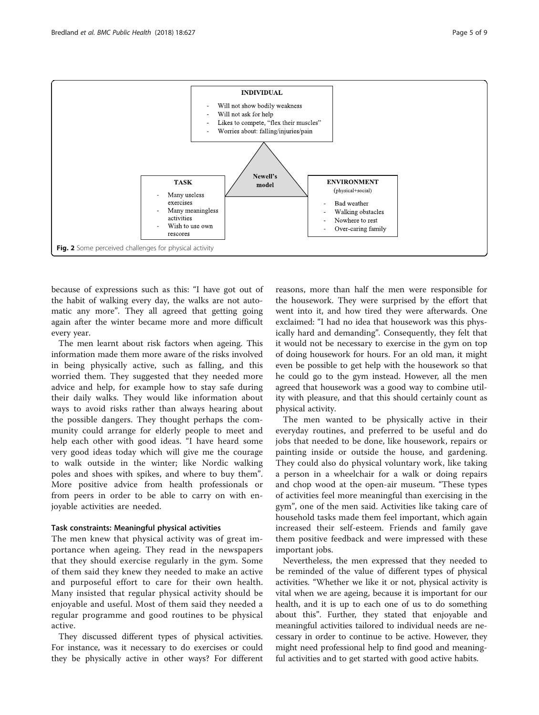<span id="page-4-0"></span>

because of expressions such as this: "I have got out of the habit of walking every day, the walks are not automatic any more". They all agreed that getting going again after the winter became more and more difficult every year.

The men learnt about risk factors when ageing. This information made them more aware of the risks involved in being physically active, such as falling, and this worried them. They suggested that they needed more advice and help, for example how to stay safe during their daily walks. They would like information about ways to avoid risks rather than always hearing about the possible dangers. They thought perhaps the community could arrange for elderly people to meet and help each other with good ideas. "I have heard some very good ideas today which will give me the courage to walk outside in the winter; like Nordic walking poles and shoes with spikes, and where to buy them". More positive advice from health professionals or from peers in order to be able to carry on with enjoyable activities are needed.

#### Task constraints: Meaningful physical activities

The men knew that physical activity was of great importance when ageing. They read in the newspapers that they should exercise regularly in the gym. Some of them said they knew they needed to make an active and purposeful effort to care for their own health. Many insisted that regular physical activity should be enjoyable and useful. Most of them said they needed a regular programme and good routines to be physical active.

They discussed different types of physical activities. For instance, was it necessary to do exercises or could they be physically active in other ways? For different reasons, more than half the men were responsible for the housework. They were surprised by the effort that went into it, and how tired they were afterwards. One exclaimed: "I had no idea that housework was this physically hard and demanding". Consequently, they felt that it would not be necessary to exercise in the gym on top of doing housework for hours. For an old man, it might even be possible to get help with the housework so that he could go to the gym instead. However, all the men agreed that housework was a good way to combine utility with pleasure, and that this should certainly count as physical activity.

The men wanted to be physically active in their everyday routines, and preferred to be useful and do jobs that needed to be done, like housework, repairs or painting inside or outside the house, and gardening. They could also do physical voluntary work, like taking a person in a wheelchair for a walk or doing repairs and chop wood at the open-air museum. "These types of activities feel more meaningful than exercising in the gym", one of the men said. Activities like taking care of household tasks made them feel important, which again increased their self-esteem. Friends and family gave them positive feedback and were impressed with these important jobs.

Nevertheless, the men expressed that they needed to be reminded of the value of different types of physical activities. "Whether we like it or not, physical activity is vital when we are ageing, because it is important for our health, and it is up to each one of us to do something about this". Further, they stated that enjoyable and meaningful activities tailored to individual needs are necessary in order to continue to be active. However, they might need professional help to find good and meaningful activities and to get started with good active habits.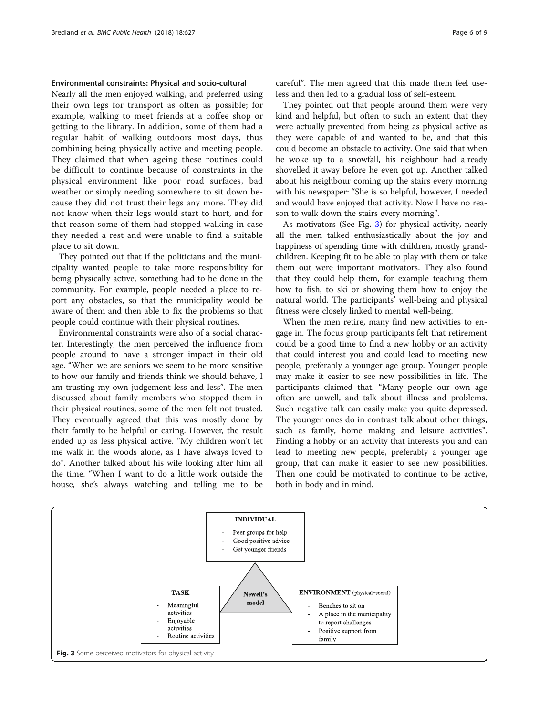# Environmental constraints: Physical and socio-cultural

Nearly all the men enjoyed walking, and preferred using their own legs for transport as often as possible; for example, walking to meet friends at a coffee shop or getting to the library. In addition, some of them had a regular habit of walking outdoors most days, thus combining being physically active and meeting people. They claimed that when ageing these routines could be difficult to continue because of constraints in the physical environment like poor road surfaces, bad weather or simply needing somewhere to sit down because they did not trust their legs any more. They did not know when their legs would start to hurt, and for that reason some of them had stopped walking in case they needed a rest and were unable to find a suitable place to sit down.

They pointed out that if the politicians and the municipality wanted people to take more responsibility for being physically active, something had to be done in the community. For example, people needed a place to report any obstacles, so that the municipality would be aware of them and then able to fix the problems so that people could continue with their physical routines.

Environmental constraints were also of a social character. Interestingly, the men perceived the influence from people around to have a stronger impact in their old age. "When we are seniors we seem to be more sensitive to how our family and friends think we should behave, I am trusting my own judgement less and less". The men discussed about family members who stopped them in their physical routines, some of the men felt not trusted. They eventually agreed that this was mostly done by their family to be helpful or caring. However, the result ended up as less physical active. "My children won't let me walk in the woods alone, as I have always loved to do". Another talked about his wife looking after him all the time. "When I want to do a little work outside the house, she's always watching and telling me to be

They pointed out that people around them were very kind and helpful, but often to such an extent that they were actually prevented from being as physical active as they were capable of and wanted to be, and that this could become an obstacle to activity. One said that when he woke up to a snowfall, his neighbour had already shovelled it away before he even got up. Another talked about his neighbour coming up the stairs every morning with his newspaper: "She is so helpful, however, I needed and would have enjoyed that activity. Now I have no reason to walk down the stairs every morning".

As motivators (See Fig. 3) for physical activity, nearly all the men talked enthusiastically about the joy and happiness of spending time with children, mostly grandchildren. Keeping fit to be able to play with them or take them out were important motivators. They also found that they could help them, for example teaching them how to fish, to ski or showing them how to enjoy the natural world. The participants' well-being and physical fitness were closely linked to mental well-being.

When the men retire, many find new activities to engage in. The focus group participants felt that retirement could be a good time to find a new hobby or an activity that could interest you and could lead to meeting new people, preferably a younger age group. Younger people may make it easier to see new possibilities in life. The participants claimed that. "Many people our own age often are unwell, and talk about illness and problems. Such negative talk can easily make you quite depressed. The younger ones do in contrast talk about other things, such as family, home making and leisure activities". Finding a hobby or an activity that interests you and can lead to meeting new people, preferably a younger age group, that can make it easier to see new possibilities. Then one could be motivated to continue to be active, both in body and in mind.

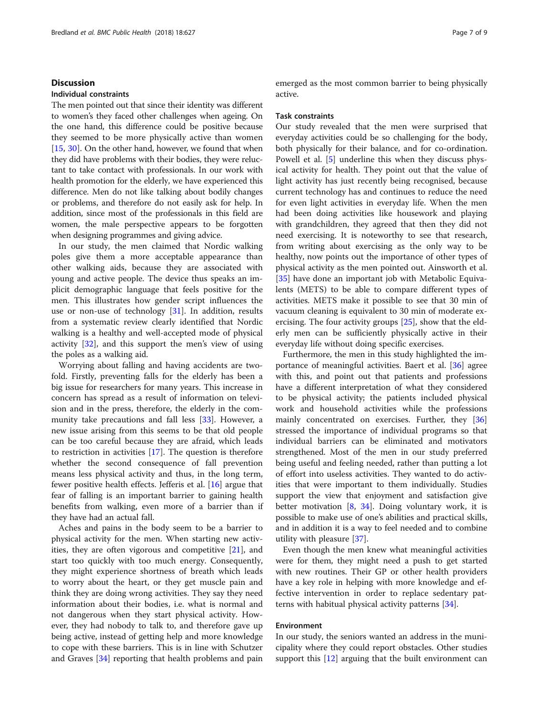# **Discussion**

### Individual constraints

The men pointed out that since their identity was different to women's they faced other challenges when ageing. On the one hand, this difference could be positive because they seemed to be more physically active than women [[15,](#page-8-0) [30](#page-8-0)]. On the other hand, however, we found that when they did have problems with their bodies, they were reluctant to take contact with professionals. In our work with health promotion for the elderly, we have experienced this difference. Men do not like talking about bodily changes or problems, and therefore do not easily ask for help. In addition, since most of the professionals in this field are women, the male perspective appears to be forgotten when designing programmes and giving advice.

In our study, the men claimed that Nordic walking poles give them a more acceptable appearance than other walking aids, because they are associated with young and active people. The device thus speaks an implicit demographic language that feels positive for the men. This illustrates how gender script influences the use or non-use of technology [[31](#page-8-0)]. In addition, results from a systematic review clearly identified that Nordic walking is a healthy and well-accepted mode of physical activity [[32](#page-8-0)], and this support the men's view of using the poles as a walking aid.

Worrying about falling and having accidents are twofold. Firstly, preventing falls for the elderly has been a big issue for researchers for many years. This increase in concern has spread as a result of information on television and in the press, therefore, the elderly in the community take precautions and fall less [[33](#page-8-0)]. However, a new issue arising from this seems to be that old people can be too careful because they are afraid, which leads to restriction in activities [\[17](#page-8-0)]. The question is therefore whether the second consequence of fall prevention means less physical activity and thus, in the long term, fewer positive health effects. Jefferis et al.  $[16]$  $[16]$  argue that fear of falling is an important barrier to gaining health benefits from walking, even more of a barrier than if they have had an actual fall.

Aches and pains in the body seem to be a barrier to physical activity for the men. When starting new activities, they are often vigorous and competitive [\[21](#page-8-0)], and start too quickly with too much energy. Consequently, they might experience shortness of breath which leads to worry about the heart, or they get muscle pain and think they are doing wrong activities. They say they need information about their bodies, i.e. what is normal and not dangerous when they start physical activity. However, they had nobody to talk to, and therefore gave up being active, instead of getting help and more knowledge to cope with these barriers. This is in line with Schutzer and Graves [\[34\]](#page-8-0) reporting that health problems and pain emerged as the most common barrier to being physically active.

#### Task constraints

Our study revealed that the men were surprised that everyday activities could be so challenging for the body, both physically for their balance, and for co-ordination. Powell et al. [\[5\]](#page-8-0) underline this when they discuss physical activity for health. They point out that the value of light activity has just recently being recognised, because current technology has and continues to reduce the need for even light activities in everyday life. When the men had been doing activities like housework and playing with grandchildren, they agreed that then they did not need exercising. It is noteworthy to see that research, from writing about exercising as the only way to be healthy, now points out the importance of other types of physical activity as the men pointed out. Ainsworth et al. [[35\]](#page-8-0) have done an important job with Metabolic Equivalents (METS) to be able to compare different types of activities. METS make it possible to see that 30 min of vacuum cleaning is equivalent to 30 min of moderate exercising. The four activity groups [\[25\]](#page-8-0), show that the elderly men can be sufficiently physically active in their everyday life without doing specific exercises.

Furthermore, the men in this study highlighted the importance of meaningful activities. Baert et al. [\[36](#page-8-0)] agree with this, and point out that patients and professions have a different interpretation of what they considered to be physical activity; the patients included physical work and household activities while the professions mainly concentrated on exercises. Further, they [[36](#page-8-0)] stressed the importance of individual programs so that individual barriers can be eliminated and motivators strengthened. Most of the men in our study preferred being useful and feeling needed, rather than putting a lot of effort into useless activities. They wanted to do activities that were important to them individually. Studies support the view that enjoyment and satisfaction give better motivation  $[8, 34]$  $[8, 34]$  $[8, 34]$ . Doing voluntary work, it is possible to make use of one's abilities and practical skills, and in addition it is a way to feel needed and to combine utility with pleasure [\[37](#page-8-0)].

Even though the men knew what meaningful activities were for them, they might need a push to get started with new routines. Their GP or other health providers have a key role in helping with more knowledge and effective intervention in order to replace sedentary patterns with habitual physical activity patterns [[34\]](#page-8-0).

# Environment

In our study, the seniors wanted an address in the municipality where they could report obstacles. Other studies support this [[12\]](#page-8-0) arguing that the built environment can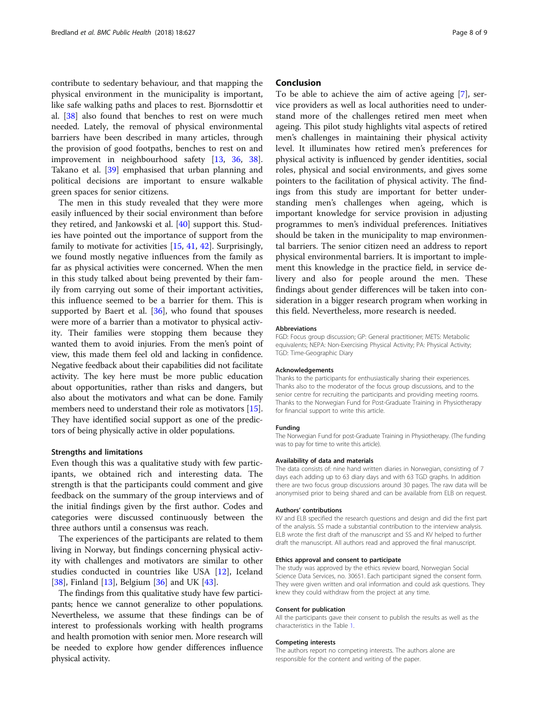contribute to sedentary behaviour, and that mapping the physical environment in the municipality is important, like safe walking paths and places to rest. Bjornsdottir et al. [\[38](#page-8-0)] also found that benches to rest on were much needed. Lately, the removal of physical environmental barriers have been described in many articles, through the provision of good footpaths, benches to rest on and improvement in neighbourhood safety [[13,](#page-8-0) [36](#page-8-0), [38](#page-8-0)]. Takano et al. [[39\]](#page-8-0) emphasised that urban planning and political decisions are important to ensure walkable green spaces for senior citizens.

The men in this study revealed that they were more easily influenced by their social environment than before they retired, and Jankowski et al. [[40](#page-8-0)] support this. Studies have pointed out the importance of support from the family to motivate for activities [\[15,](#page-8-0) [41](#page-8-0), [42](#page-8-0)]. Surprisingly, we found mostly negative influences from the family as far as physical activities were concerned. When the men in this study talked about being prevented by their family from carrying out some of their important activities, this influence seemed to be a barrier for them. This is supported by Baert et al. [[36\]](#page-8-0), who found that spouses were more of a barrier than a motivator to physical activity. Their families were stopping them because they wanted them to avoid injuries. From the men's point of view, this made them feel old and lacking in confidence. Negative feedback about their capabilities did not facilitate activity. The key here must be more public education about opportunities, rather than risks and dangers, but also about the motivators and what can be done. Family members need to understand their role as motivators [[15](#page-8-0)]. They have identified social support as one of the predictors of being physically active in older populations.

#### Strengths and limitations

Even though this was a qualitative study with few participants, we obtained rich and interesting data. The strength is that the participants could comment and give feedback on the summary of the group interviews and of the initial findings given by the first author. Codes and categories were discussed continuously between the three authors until a consensus was reach.

The experiences of the participants are related to them living in Norway, but findings concerning physical activity with challenges and motivators are similar to other studies conducted in countries like USA [[12](#page-8-0)], Iceland [[38\]](#page-8-0), Finland [[13\]](#page-8-0), Belgium [\[36](#page-8-0)] and UK [\[43\]](#page-8-0).

The findings from this qualitative study have few participants; hence we cannot generalize to other populations. Nevertheless, we assume that these findings can be of interest to professionals working with health programs and health promotion with senior men. More research will be needed to explore how gender differences influence physical activity.

# Conclusion

To be able to achieve the aim of active ageing [\[7](#page-8-0)], service providers as well as local authorities need to understand more of the challenges retired men meet when ageing. This pilot study highlights vital aspects of retired men's challenges in maintaining their physical activity level. It illuminates how retired men's preferences for physical activity is influenced by gender identities, social roles, physical and social environments, and gives some pointers to the facilitation of physical activity. The findings from this study are important for better understanding men's challenges when ageing, which is important knowledge for service provision in adjusting programmes to men's individual preferences. Initiatives should be taken in the municipality to map environmental barriers. The senior citizen need an address to report physical environmental barriers. It is important to implement this knowledge in the practice field, in service delivery and also for people around the men. These findings about gender differences will be taken into consideration in a bigger research program when working in this field. Nevertheless, more research is needed.

#### Abbreviations

FGD: Focus group discussion; GP: General practitioner; METS: Metabolic equivalents; NEPA: Non-Exercising Physical Activity; PA: Physical Activity; TGD: Time-Geographic Diary

#### Acknowledgements

Thanks to the participants for enthusiastically sharing their experiences. Thanks also to the moderator of the focus group discussions, and to the senior centre for recruiting the participants and providing meeting rooms. Thanks to the Norwegian Fund for Post-Graduate Training in Physiotherapy for financial support to write this article.

#### Funding

The Norwegian Fund for post-Graduate Training in Physiotherapy. (The funding was to pay for time to write this article).

#### Availability of data and materials

The data consists of: nine hand written diaries in Norwegian, consisting of 7 days each adding up to 63 diary days and with 63 TGD graphs. In addition there are two focus group discussions around 30 pages. The raw data will be anonymised prior to being shared and can be available from ELB on request.

#### Authors' contributions

KV and ELB specified the research questions and design and did the first part of the analysis. SS made a substantial contribution to the interview analysis. ELB wrote the first draft of the manuscript and SS and KV helped to further draft the manuscript. All authors read and approved the final manuscript.

#### Ethics approval and consent to participate

The study was approved by the ethics review board, Norwegian Social Science Data Services, no. 30651. Each participant signed the consent form. They were given written and oral information and could ask questions. They knew they could withdraw from the project at any time.

#### Consent for publication

All the participants gave their consent to publish the results as well as the characteristics in the Table [1](#page-2-0).

#### Competing interests

The authors report no competing interests. The authors alone are responsible for the content and writing of the paper.